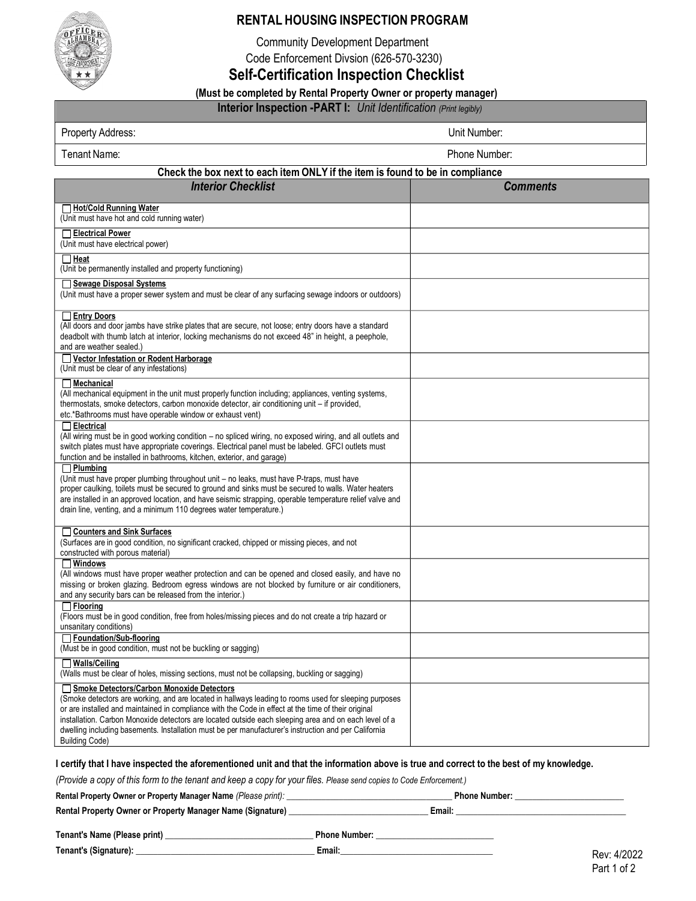

## **RENTAL HOUSING INSPECTION PROGRAM**

Community Development Department

Code Enforcement Divsion (626-570-3230)

**Self-Certification Inspection Checklist**

# **(Must be completed by Rental Property Owner or property manager)**

**Interior Inspection -PART I:** *Unit Identification (Print legibly)*<br>Property Address: Unit Number: **Unit Number:** 

| Property Address:                                                                                                                                                                                                                                                                                                                                                                                                                                                                                   | Unit Number:    |
|-----------------------------------------------------------------------------------------------------------------------------------------------------------------------------------------------------------------------------------------------------------------------------------------------------------------------------------------------------------------------------------------------------------------------------------------------------------------------------------------------------|-----------------|
| Tenant Name:                                                                                                                                                                                                                                                                                                                                                                                                                                                                                        | Phone Number:   |
| Check the box next to each item ONLY if the item is found to be in compliance                                                                                                                                                                                                                                                                                                                                                                                                                       |                 |
| <b>Interior Checklist</b>                                                                                                                                                                                                                                                                                                                                                                                                                                                                           | <b>Comments</b> |
| Hot/Cold Running Water<br>(Unit must have hot and cold running water)                                                                                                                                                                                                                                                                                                                                                                                                                               |                 |
| □ Electrical Power<br>(Unit must have electrical power)                                                                                                                                                                                                                                                                                                                                                                                                                                             |                 |
| $\Box$ Heat<br>(Unit be permanently installed and property functioning)                                                                                                                                                                                                                                                                                                                                                                                                                             |                 |
| Sewage Disposal Systems<br>(Unit must have a proper sewer system and must be clear of any surfacing sewage indoors or outdoors)                                                                                                                                                                                                                                                                                                                                                                     |                 |
| <b>Entry Doors</b><br>(All doors and door jambs have strike plates that are secure, not loose; entry doors have a standard<br>deadbolt with thumb latch at interior, locking mechanisms do not exceed 48" in height, a peephole,<br>and are weather sealed.)                                                                                                                                                                                                                                        |                 |
| Vector Infestation or Rodent Harborage<br>(Unit must be clear of any infestations)                                                                                                                                                                                                                                                                                                                                                                                                                  |                 |
| $\Box$ Mechanical<br>(All mechanical equipment in the unit must properly function including; appliances, venting systems,<br>thermostats, smoke detectors, carbon monoxide detector, air conditioning unit - if provided,<br>etc.*Bathrooms must have operable window or exhaust vent)                                                                                                                                                                                                              |                 |
| $\Box$ Electrical<br>(All wiring must be in good working condition - no spliced wiring, no exposed wiring, and all outlets and<br>switch plates must have appropriate coverings. Electrical panel must be labeled. GFCI outlets must<br>function and be installed in bathrooms, kitchen, exterior, and garage)                                                                                                                                                                                      |                 |
| $\Box$ Plumbing<br>(Unit must have proper plumbing throughout unit - no leaks, must have P-traps, must have<br>proper caulking, toilets must be secured to ground and sinks must be secured to walls. Water heaters<br>are installed in an approved location, and have seismic strapping, operable temperature relief valve and<br>drain line, venting, and a minimum 110 degrees water temperature.)                                                                                               |                 |
| □ Counters and Sink Surfaces<br>(Surfaces are in good condition, no significant cracked, chipped or missing pieces, and not<br>constructed with porous material)                                                                                                                                                                                                                                                                                                                                    |                 |
| $\square$ Windows<br>(All windows must have proper weather protection and can be opened and closed easily, and have no<br>missing or broken glazing. Bedroom egress windows are not blocked by furniture or air conditioners,<br>and any security bars can be released from the interior.)                                                                                                                                                                                                          |                 |
| $\Box$ Flooring<br>(Floors must be in good condition, free from holes/missing pieces and do not create a trip hazard or<br>unsanitary conditions)                                                                                                                                                                                                                                                                                                                                                   |                 |
| Foundation/Sub-flooring<br>(Must be in good condition, must not be buckling or sagging)                                                                                                                                                                                                                                                                                                                                                                                                             |                 |
| $\Box$ Walls/Ceiling<br>(Walls must be clear of holes, missing sections, must not be collapsing, buckling or sagging)                                                                                                                                                                                                                                                                                                                                                                               |                 |
| Smoke Detectors/Carbon Monoxide Detectors<br>(Smoke detectors are working, and are located in hallways leading to rooms used for sleeping purposes<br>or are installed and maintained in compliance with the Code in effect at the time of their original<br>installation. Carbon Monoxide detectors are located outside each sleeping area and on each level of a<br>dwelling including basements. Installation must be per manufacturer's instruction and per California<br><b>Building Code)</b> |                 |

### I certify that I have inspected the aforementioned unit and that the information above is true and correct to the best of my knowledge.

(Provide a copy of this form to the tenant and keep a copy for your files. Please send copies to Code Enforcement.)

| Rental Property Owner or Property Manager Name (Please print): |        | <b>Phone Number:</b> |
|----------------------------------------------------------------|--------|----------------------|
| Rental Property Owner or Property Manager Name (Signature)     | Email: |                      |
|                                                                |        |                      |

| Tenant's Name (Please print) | <b>Phone Number:</b> |
|------------------------------|----------------------|
| Tenant's (Signature):        | Email:               |